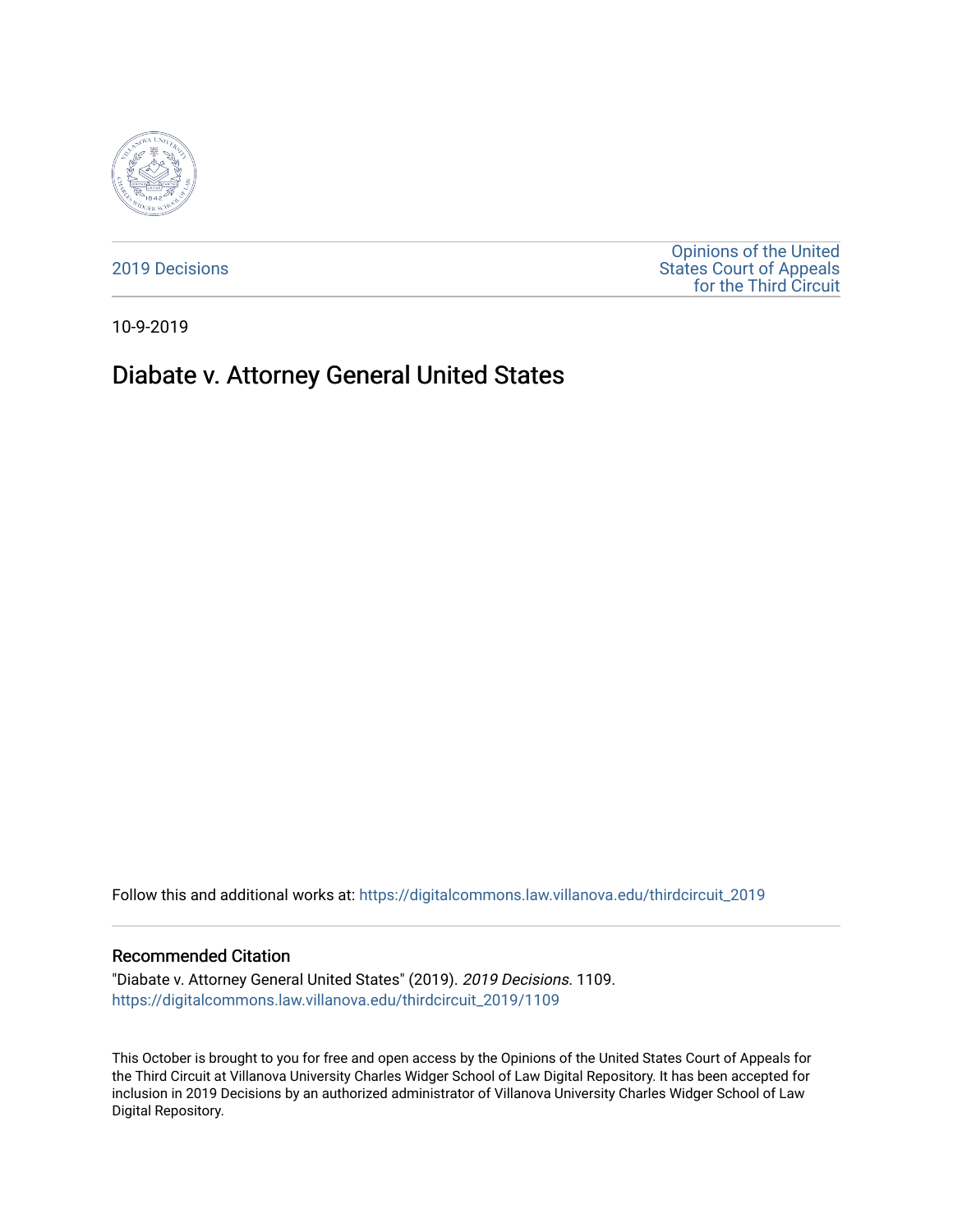

[2019 Decisions](https://digitalcommons.law.villanova.edu/thirdcircuit_2019)

[Opinions of the United](https://digitalcommons.law.villanova.edu/thirdcircuit)  [States Court of Appeals](https://digitalcommons.law.villanova.edu/thirdcircuit)  [for the Third Circuit](https://digitalcommons.law.villanova.edu/thirdcircuit) 

10-9-2019

# Diabate v. Attorney General United States

Follow this and additional works at: [https://digitalcommons.law.villanova.edu/thirdcircuit\\_2019](https://digitalcommons.law.villanova.edu/thirdcircuit_2019?utm_source=digitalcommons.law.villanova.edu%2Fthirdcircuit_2019%2F1109&utm_medium=PDF&utm_campaign=PDFCoverPages) 

#### Recommended Citation

"Diabate v. Attorney General United States" (2019). 2019 Decisions. 1109. [https://digitalcommons.law.villanova.edu/thirdcircuit\\_2019/1109](https://digitalcommons.law.villanova.edu/thirdcircuit_2019/1109?utm_source=digitalcommons.law.villanova.edu%2Fthirdcircuit_2019%2F1109&utm_medium=PDF&utm_campaign=PDFCoverPages) 

This October is brought to you for free and open access by the Opinions of the United States Court of Appeals for the Third Circuit at Villanova University Charles Widger School of Law Digital Repository. It has been accepted for inclusion in 2019 Decisions by an authorized administrator of Villanova University Charles Widger School of Law Digital Repository.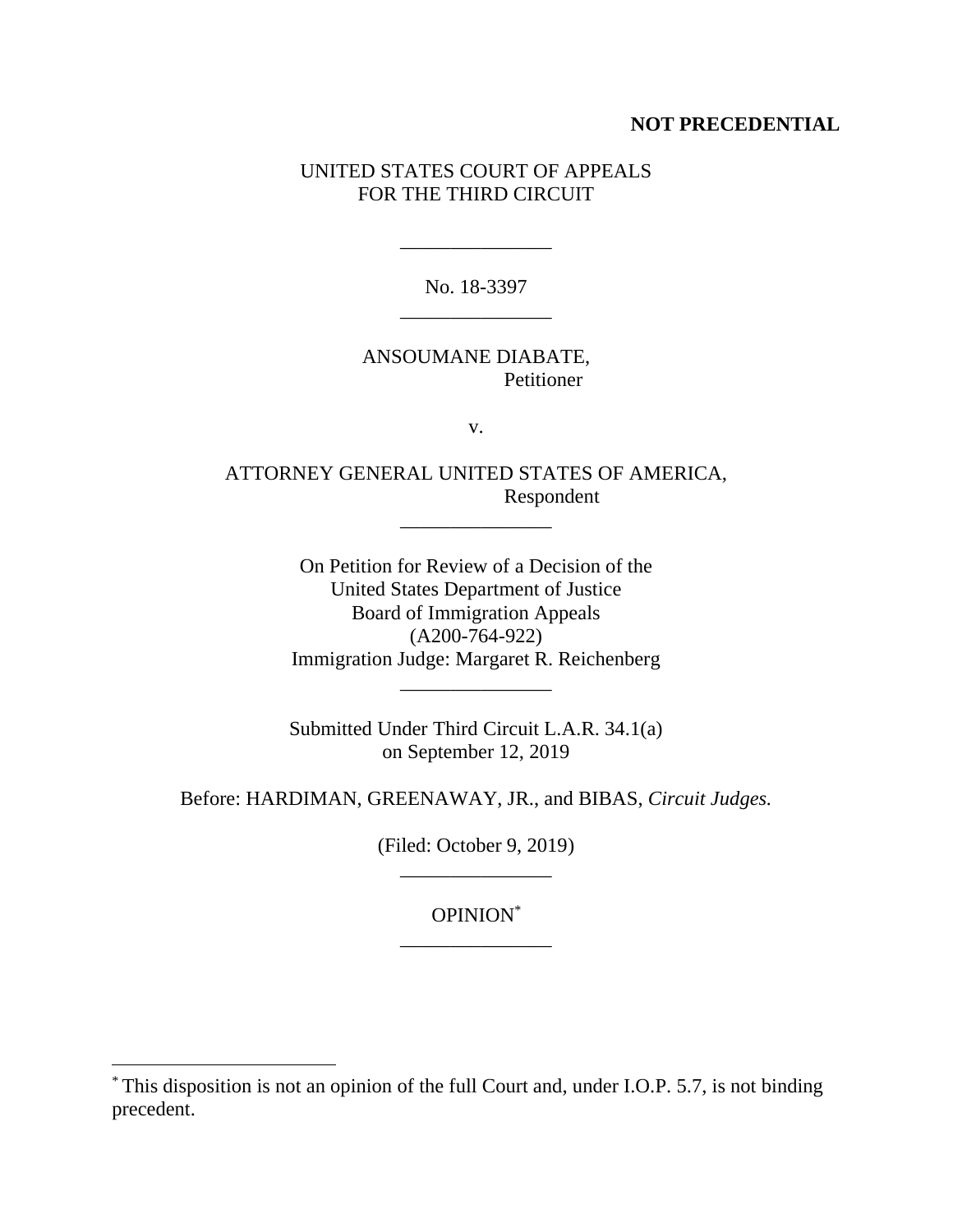# **NOT PRECEDENTIAL**

# UNITED STATES COURT OF APPEALS FOR THE THIRD CIRCUIT

No. 18-3397 \_\_\_\_\_\_\_\_\_\_\_\_\_\_\_

\_\_\_\_\_\_\_\_\_\_\_\_\_\_\_

# ANSOUMANE DIABATE, Petitioner

v.

ATTORNEY GENERAL UNITED STATES OF AMERICA, Respondent

\_\_\_\_\_\_\_\_\_\_\_\_\_\_\_

On Petition for Review of a Decision of the United States Department of Justice Board of Immigration Appeals (A200-764-922) Immigration Judge: Margaret R. Reichenberg \_\_\_\_\_\_\_\_\_\_\_\_\_\_\_

Submitted Under Third Circuit L.A.R. 34.1(a) on September 12, 2019

Before: HARDIMAN, GREENAWAY, JR., and BIBAS, *Circuit Judges.*

(Filed: October 9, 2019) \_\_\_\_\_\_\_\_\_\_\_\_\_\_\_

> OPINION\* \_\_\_\_\_\_\_\_\_\_\_\_\_\_\_

 $\overline{a}$ 

<sup>\*</sup> This disposition is not an opinion of the full Court and, under I.O.P. 5.7, is not binding precedent.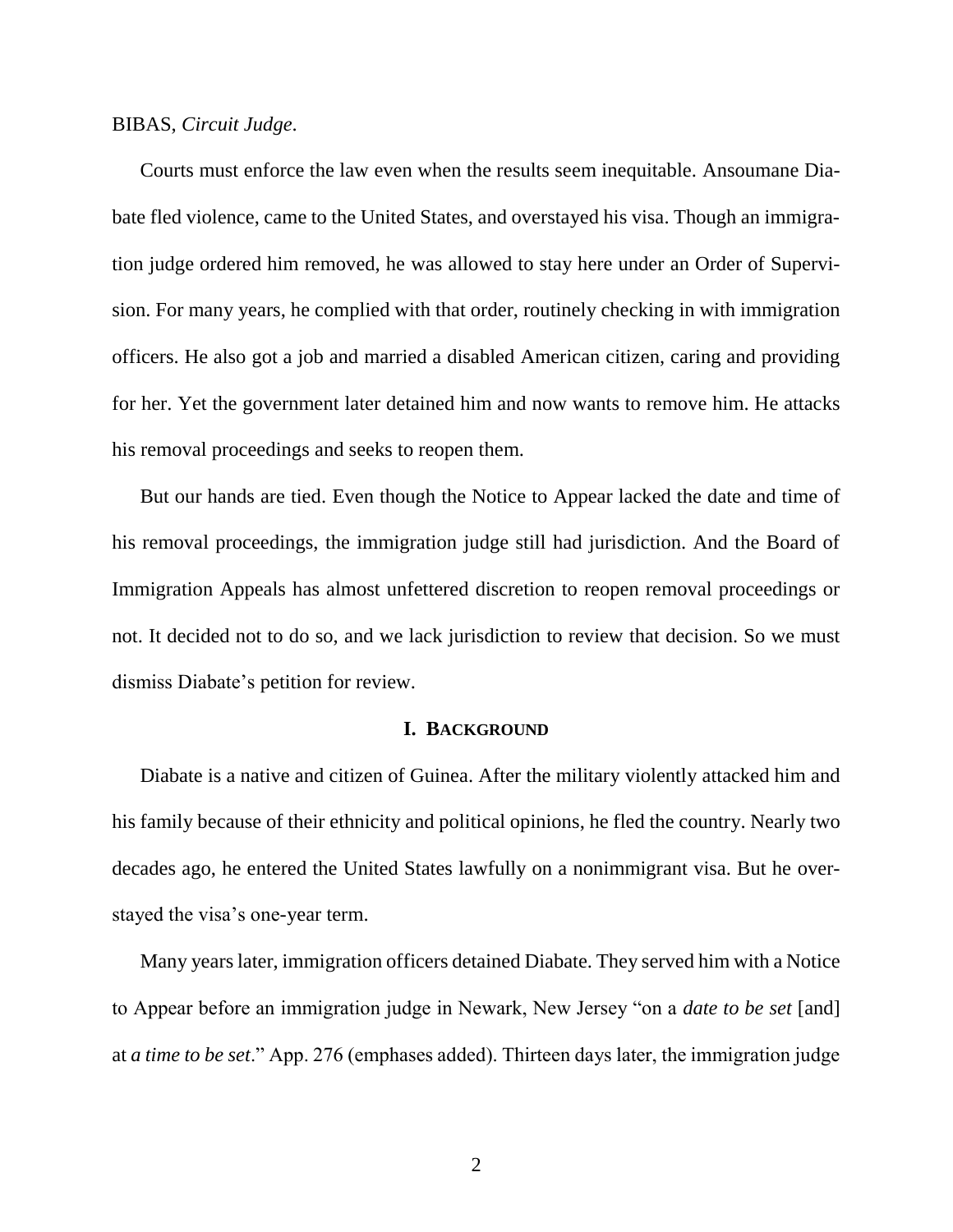#### BIBAS, *Circuit Judge*.

Courts must enforce the law even when the results seem inequitable. Ansoumane Diabate fled violence, came to the United States, and overstayed his visa. Though an immigration judge ordered him removed, he was allowed to stay here under an Order of Supervision. For many years, he complied with that order, routinely checking in with immigration officers. He also got a job and married a disabled American citizen, caring and providing for her. Yet the government later detained him and now wants to remove him. He attacks his removal proceedings and seeks to reopen them.

But our hands are tied. Even though the Notice to Appear lacked the date and time of his removal proceedings, the immigration judge still had jurisdiction. And the Board of Immigration Appeals has almost unfettered discretion to reopen removal proceedings or not. It decided not to do so, and we lack jurisdiction to review that decision. So we must dismiss Diabate's petition for review.

#### **I. BACKGROUND**

Diabate is a native and citizen of Guinea. After the military violently attacked him and his family because of their ethnicity and political opinions, he fled the country. Nearly two decades ago, he entered the United States lawfully on a nonimmigrant visa. But he overstayed the visa's one-year term.

Many years later, immigration officers detained Diabate. They served him with a Notice to Appear before an immigration judge in Newark, New Jersey "on a *date to be set* [and] at *a time to be set*." App. 276 (emphases added). Thirteen days later, the immigration judge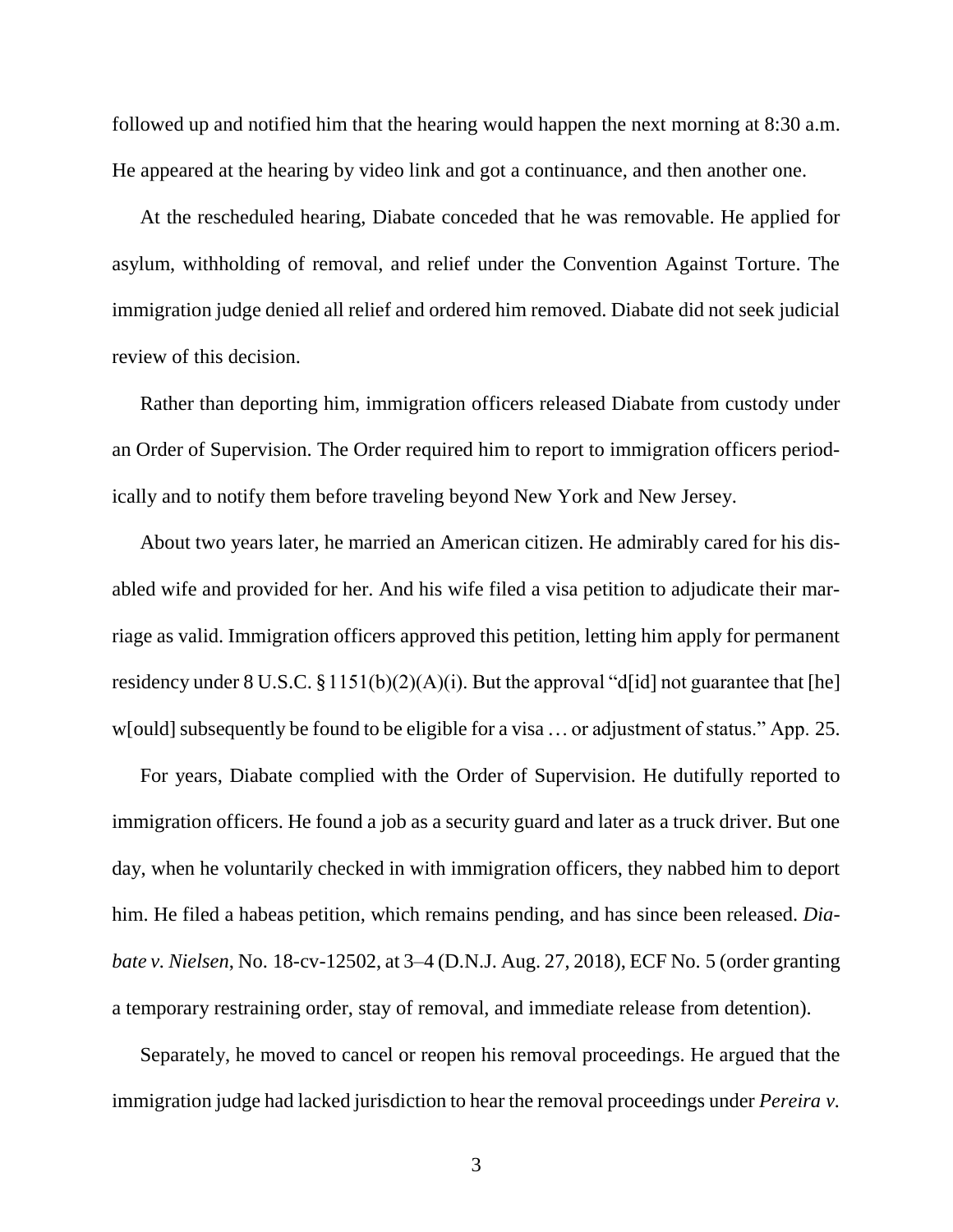followed up and notified him that the hearing would happen the next morning at 8:30 a.m. He appeared at the hearing by video link and got a continuance, and then another one.

At the rescheduled hearing, Diabate conceded that he was removable. He applied for asylum, withholding of removal, and relief under the Convention Against Torture. The immigration judge denied all relief and ordered him removed. Diabate did not seek judicial review of this decision.

Rather than deporting him, immigration officers released Diabate from custody under an Order of Supervision. The Order required him to report to immigration officers periodically and to notify them before traveling beyond New York and New Jersey.

About two years later, he married an American citizen. He admirably cared for his disabled wife and provided for her. And his wife filed a visa petition to adjudicate their marriage as valid. Immigration officers approved this petition, letting him apply for permanent residency under  $8 \text{ U.S.C. } \frac{81151(b)(2)(\text{A})(i)}{2}$ . But the approval "d[id] not guarantee that [he] w[ould] subsequently be found to be eligible for a visa ... or adjustment of status." App. 25.

For years, Diabate complied with the Order of Supervision. He dutifully reported to immigration officers. He found a job as a security guard and later as a truck driver. But one day, when he voluntarily checked in with immigration officers, they nabbed him to deport him. He filed a habeas petition, which remains pending, and has since been released. *Diabate v. Nielsen*, No. 18-cv-12502, at 3–4 (D.N.J. Aug. 27, 2018), ECF No. 5 (order granting a temporary restraining order, stay of removal, and immediate release from detention).

Separately, he moved to cancel or reopen his removal proceedings. He argued that the immigration judge had lacked jurisdiction to hear the removal proceedings under *Pereira v.*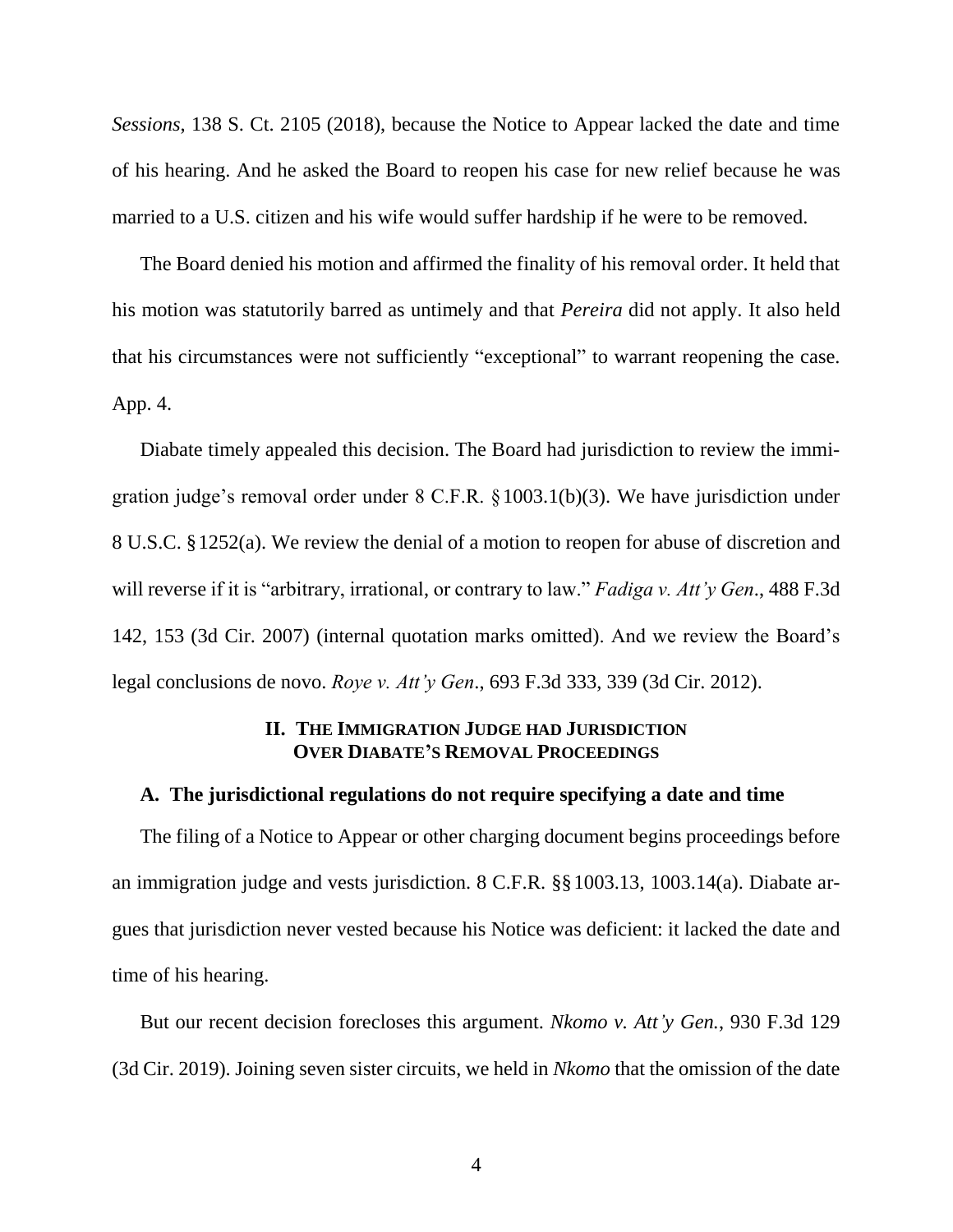*Sessions*, 138 S. Ct. 2105 (2018), because the Notice to Appear lacked the date and time of his hearing. And he asked the Board to reopen his case for new relief because he was married to a U.S. citizen and his wife would suffer hardship if he were to be removed.

The Board denied his motion and affirmed the finality of his removal order. It held that his motion was statutorily barred as untimely and that *Pereira* did not apply. It also held that his circumstances were not sufficiently "exceptional" to warrant reopening the case. App. 4.

Diabate timely appealed this decision. The Board had jurisdiction to review the immigration judge's removal order under 8 C.F.R. §1003.1(b)(3). We have jurisdiction under 8 U.S.C. §1252(a). We review the denial of a motion to reopen for abuse of discretion and will reverse if it is "arbitrary, irrational, or contrary to law." *Fadiga v. Att'y Gen*., 488 F.3d 142, 153 (3d Cir. 2007) (internal quotation marks omitted). And we review the Board's legal conclusions de novo. *Roye v. Att'y Gen*., 693 F.3d 333, 339 (3d Cir. 2012).

# **II. THE IMMIGRATION JUDGE HAD JURISDICTION OVER DIABATE'S REMOVAL PROCEEDINGS**

#### **A. The jurisdictional regulations do not require specifying a date and time**

The filing of a Notice to Appear or other charging document begins proceedings before an immigration judge and vests jurisdiction. 8 C.F.R. §§1003.13, 1003.14(a). Diabate argues that jurisdiction never vested because his Notice was deficient: it lacked the date and time of his hearing.

But our recent decision forecloses this argument. *Nkomo v. Att'y Gen.*, 930 F.3d 129 (3d Cir. 2019). Joining seven sister circuits, we held in *Nkomo* that the omission of the date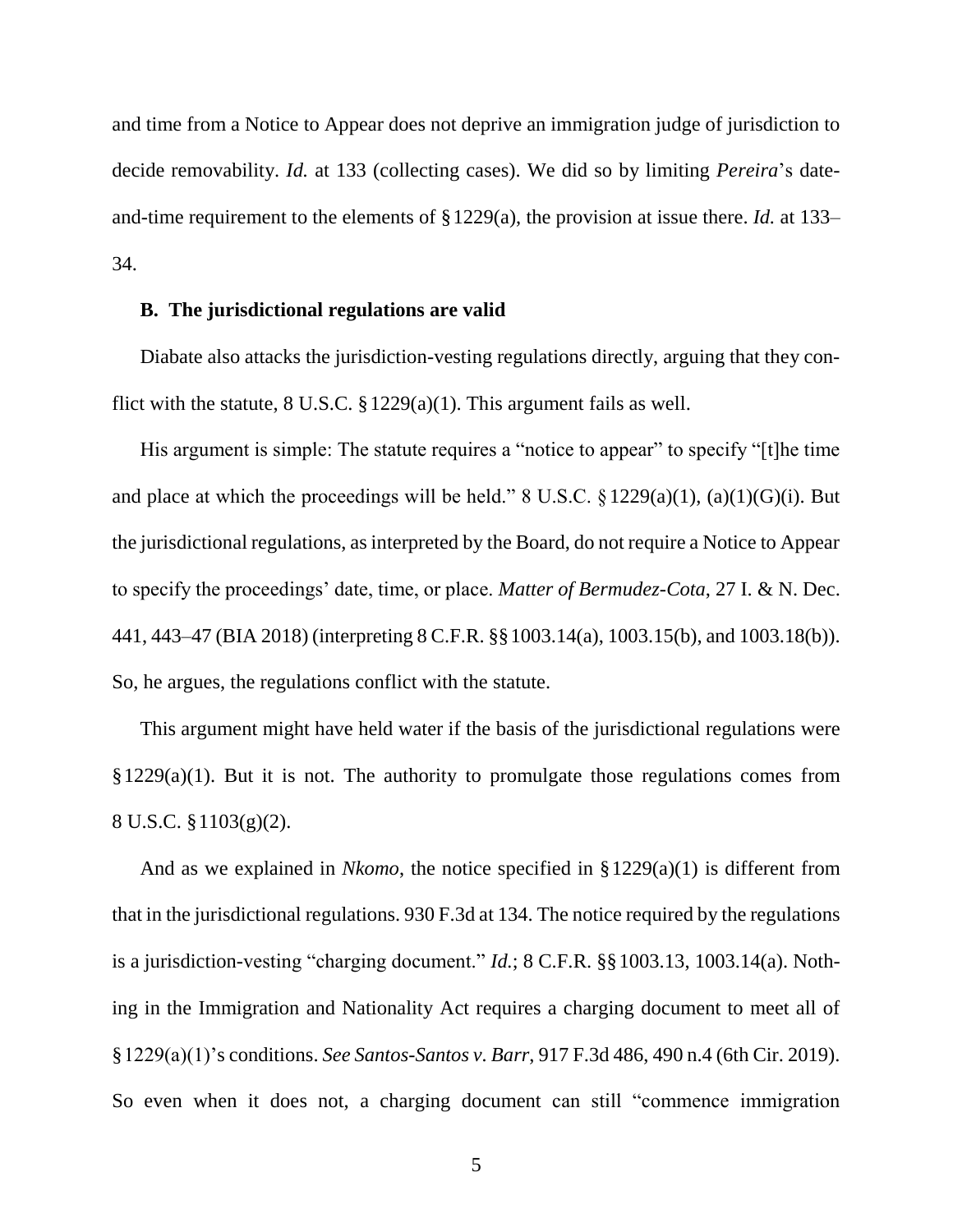and time from a Notice to Appear does not deprive an immigration judge of jurisdiction to decide removability. *Id.* at 133 (collecting cases). We did so by limiting *Pereira*'s dateand-time requirement to the elements of §1229(a), the provision at issue there. *Id.* at 133– 34.

#### **B. The jurisdictional regulations are valid**

Diabate also attacks the jurisdiction-vesting regulations directly, arguing that they conflict with the statute,  $8 \text{ U.S.C. } §1229(a)(1)$ . This argument fails as well.

His argument is simple: The statute requires a "notice to appear" to specify "[t]he time and place at which the proceedings will be held."  $8 \text{ U.S.C.} \& 1229(a)(1), (a)(1)(G)(i)$ . But the jurisdictional regulations, as interpreted by the Board, do not require a Notice to Appear to specify the proceedings' date, time, or place. *Matter of Bermudez-Cota*, 27 I. & N. Dec. 441, 443–47 (BIA 2018) (interpreting 8 C.F.R. §§1003.14(a), 1003.15(b), and 1003.18(b)). So, he argues, the regulations conflict with the statute.

This argument might have held water if the basis of the jurisdictional regulations were  $§1229(a)(1)$ . But it is not. The authority to promulgate those regulations comes from 8 U.S.C. §1103(g)(2).

And as we explained in *Nkomo*, the notice specified in §1229(a)(1) is different from that in the jurisdictional regulations. 930 F.3d at 134. The notice required by the regulations is a jurisdiction-vesting "charging document." *Id.*; 8 C.F.R. §§1003.13, 1003.14(a). Nothing in the Immigration and Nationality Act requires a charging document to meet all of §1229(a)(1)'s conditions. *See Santos-Santos v. Barr*, 917 F.3d 486, 490 n.4 (6th Cir. 2019). So even when it does not, a charging document can still "commence immigration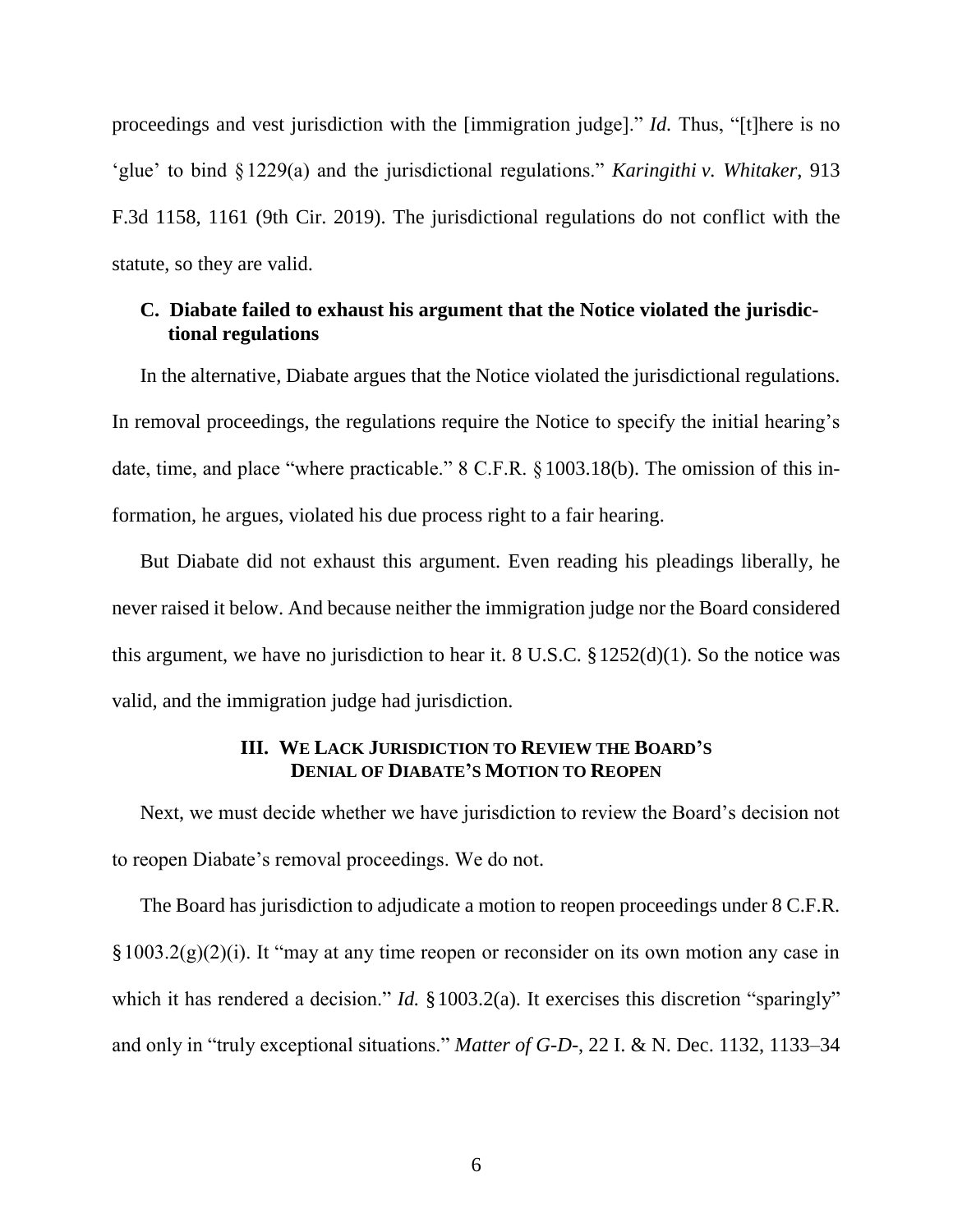proceedings and vest jurisdiction with the [immigration judge]." *Id.* Thus, "[t]here is no 'glue' to bind §1229(a) and the jurisdictional regulations." *Karingithi v. Whitaker*, 913 F.3d 1158, 1161 (9th Cir. 2019). The jurisdictional regulations do not conflict with the statute, so they are valid.

# **C. Diabate failed to exhaust his argument that the Notice violated the jurisdictional regulations**

In the alternative, Diabate argues that the Notice violated the jurisdictional regulations. In removal proceedings, the regulations require the Notice to specify the initial hearing's date, time, and place "where practicable." 8 C.F.R. §1003.18(b). The omission of this information, he argues, violated his due process right to a fair hearing.

But Diabate did not exhaust this argument. Even reading his pleadings liberally, he never raised it below. And because neither the immigration judge nor the Board considered this argument, we have no jurisdiction to hear it. 8 U.S.C.  $\S 1252(d)(1)$ . So the notice was valid, and the immigration judge had jurisdiction.

# **III. WE LACK JURISDICTION TO REVIEW THE BOARD'S DENIAL OF DIABATE'S MOTION TO REOPEN**

Next, we must decide whether we have jurisdiction to review the Board's decision not to reopen Diabate's removal proceedings. We do not.

The Board has jurisdiction to adjudicate a motion to reopen proceedings under 8 C.F.R.  $\S 1003.2(g)(2)(i)$ . It "may at any time reopen or reconsider on its own motion any case in which it has rendered a decision." *Id.* §1003.2(a). It exercises this discretion "sparingly" and only in "truly exceptional situations." *Matter of G-D-*, 22 I. & N. Dec. 1132, 1133–34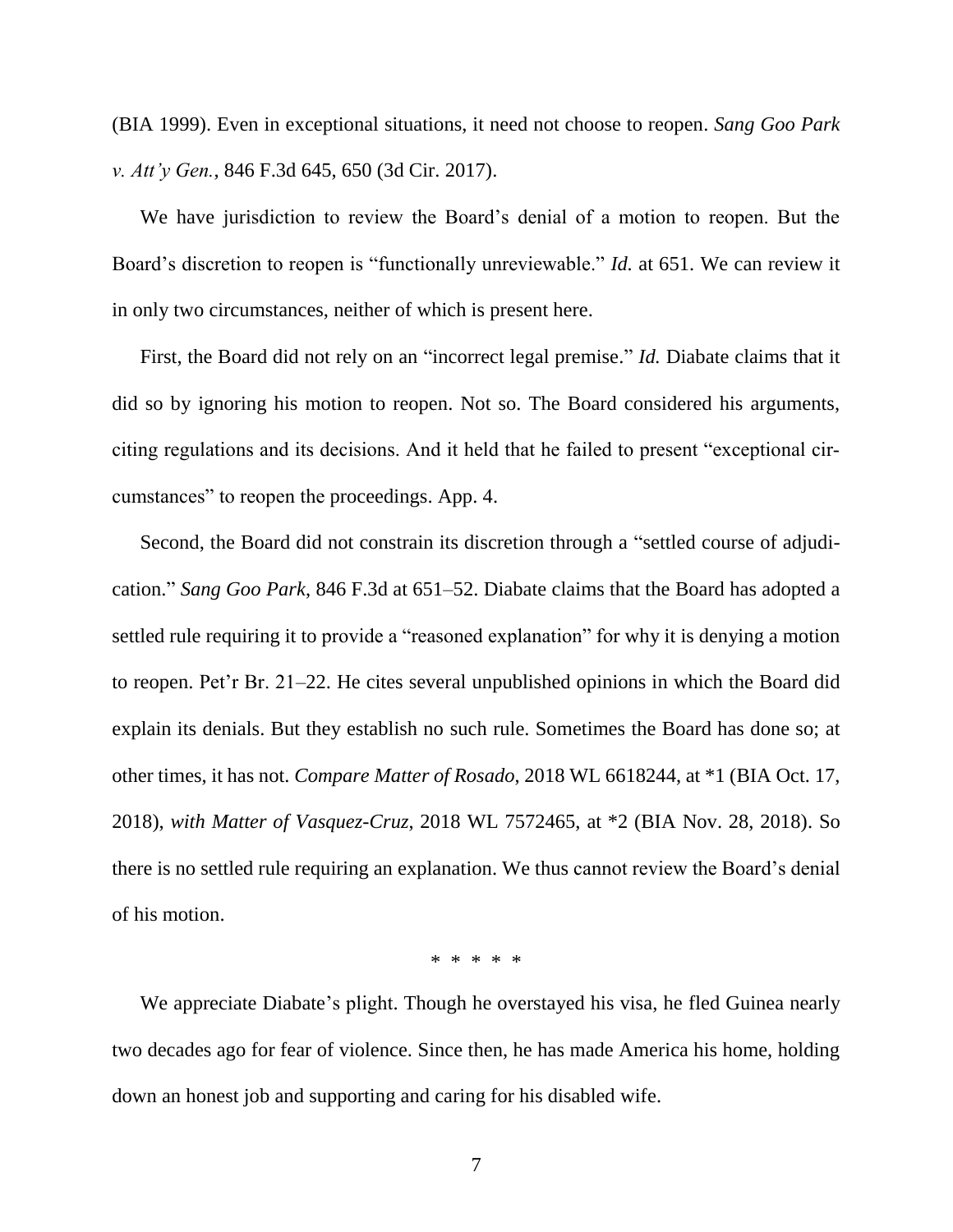(BIA 1999). Even in exceptional situations, it need not choose to reopen. *Sang Goo Park v. Att'y Gen.*, 846 F.3d 645, 650 (3d Cir. 2017).

We have jurisdiction to review the Board's denial of a motion to reopen. But the Board's discretion to reopen is "functionally unreviewable." *Id.* at 651. We can review it in only two circumstances, neither of which is present here.

First, the Board did not rely on an "incorrect legal premise." *Id.* Diabate claims that it did so by ignoring his motion to reopen. Not so. The Board considered his arguments, citing regulations and its decisions. And it held that he failed to present "exceptional circumstances" to reopen the proceedings. App. 4.

Second, the Board did not constrain its discretion through a "settled course of adjudication." *Sang Goo Park*, 846 F.3d at 651–52. Diabate claims that the Board has adopted a settled rule requiring it to provide a "reasoned explanation" for why it is denying a motion to reopen. Pet'r Br. 21–22. He cites several unpublished opinions in which the Board did explain its denials. But they establish no such rule. Sometimes the Board has done so; at other times, it has not. *Compare Matter of Rosado*, 2018 WL 6618244, at \*1 (BIA Oct. 17, 2018), *with Matter of Vasquez-Cruz*, 2018 WL 7572465, at \*2 (BIA Nov. 28, 2018). So there is no settled rule requiring an explanation. We thus cannot review the Board's denial of his motion.

\* \* \* \* \*

We appreciate Diabate's plight. Though he overstayed his visa, he fled Guinea nearly two decades ago for fear of violence. Since then, he has made America his home, holding down an honest job and supporting and caring for his disabled wife.